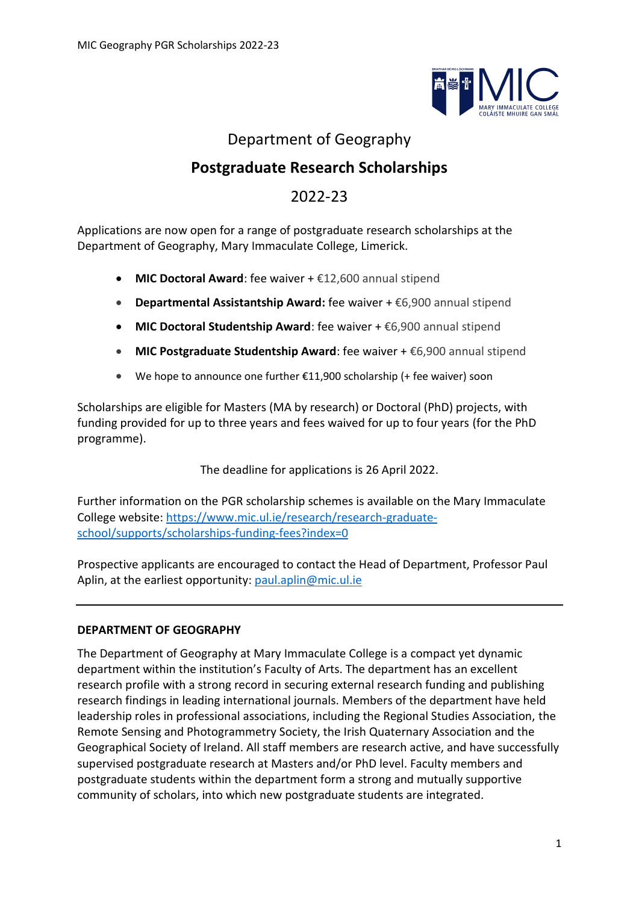

# Department of Geography

# **Postgraduate Research Scholarships**

# 2022-23

Applications are now open for a range of postgraduate research scholarships at the Department of Geography, Mary Immaculate College, Limerick.

- **MIC Doctoral Award**: fee waiver + €12,600 annual stipend
- **Departmental Assistantship Award:** fee waiver + €6,900 annual stipend
- **MIC Doctoral Studentship Award**: fee waiver + €6,900 annual stipend
- **MIC Postgraduate Studentship Award**: fee waiver + €6,900 annual stipend
- We hope to announce one further  $£11,900$  scholarship (+ fee waiver) soon

Scholarships are eligible for Masters (MA by research) or Doctoral (PhD) projects, with funding provided for up to three years and fees waived for up to four years (for the PhD programme).

The deadline for applications is 26 April 2022.

Further information on the PGR scholarship schemes is available on the Mary Immaculate College website[: https://www.mic.ul.ie/research/research-graduate](https://www.mic.ul.ie/research/research-graduate-school/supports/scholarships-funding-fees?index=0)[school/supports/scholarships-funding-fees?index=0](https://www.mic.ul.ie/research/research-graduate-school/supports/scholarships-funding-fees?index=0)

Prospective applicants are encouraged to contact the Head of Department, Professor Paul Aplin, at the earliest opportunity: [paul.aplin@mic.ul.ie](mailto:paul.aplin@mic.ul.ie)

## **DEPARTMENT OF GEOGRAPHY**

The Department of Geography at Mary Immaculate College is a compact yet dynamic department within the institution's Faculty of Arts. The department has an excellent research profile with a strong record in securing external research funding and publishing research findings in leading international journals. Members of the department have held leadership roles in professional associations, including the Regional Studies Association, the Remote Sensing and Photogrammetry Society, the Irish Quaternary Association and the Geographical Society of Ireland. All staff members are research active, and have successfully supervised postgraduate research at Masters and/or PhD level. Faculty members and postgraduate students within the department form a strong and mutually supportive community of scholars, into which new postgraduate students are integrated.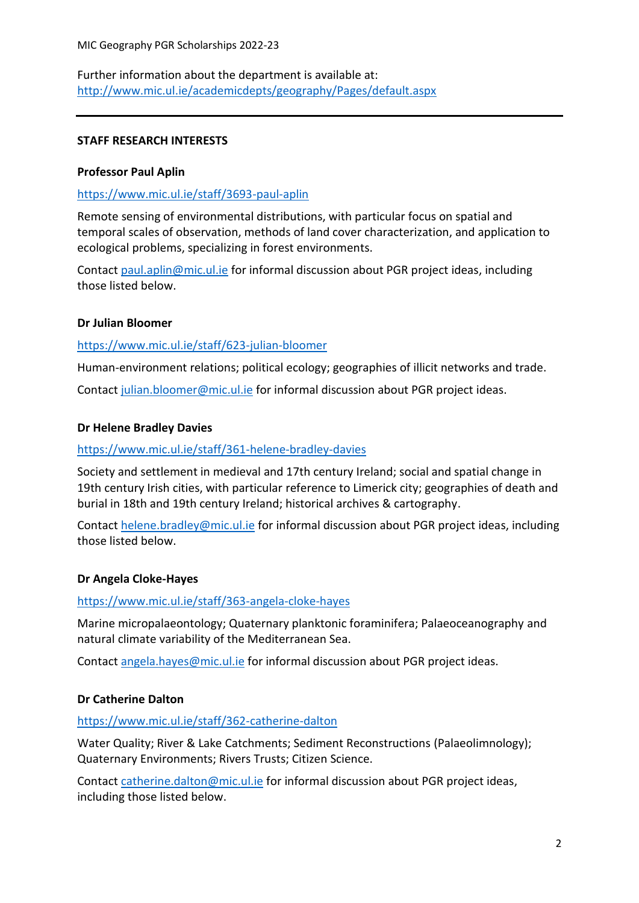Further information about the department is available at: <http://www.mic.ul.ie/academicdepts/geography/Pages/default.aspx>

#### **STAFF RESEARCH INTERESTS**

#### **Professor Paul Aplin**

### <https://www.mic.ul.ie/staff/3693-paul-aplin>

Remote sensing of environmental distributions, with particular focus on spatial and temporal scales of observation, methods of land cover characterization, and application to ecological problems, specializing in forest environments.

Contac[t paul.aplin@mic.ul.ie](mailto:paul.aplin@mic.ul.ie) for informal discussion about PGR project ideas, including those listed below.

#### **Dr Julian Bloomer**

#### <https://www.mic.ul.ie/staff/623-julian-bloomer>

Human-environment relations; political ecology; geographies of illicit networks and trade.

Contac[t julian.bloomer@mic.ul.ie](mailto:julian.bloomer@mic.ul.ie) for informal discussion about PGR project ideas.

#### **Dr Helene Bradley Davies**

#### <https://www.mic.ul.ie/staff/361-helene-bradley-davies>

Society and settlement in medieval and 17th century Ireland; social and spatial change in 19th century Irish cities, with particular reference to Limerick city; geographies of death and burial in 18th and 19th century Ireland; historical archives & cartography.

Contac[t helene.bradley@mic.ul.ie](mailto:helene.bradley@mic.ul.ie) for informal discussion about PGR project ideas, including those listed below.

## **Dr Angela Cloke-Hayes**

#### <https://www.mic.ul.ie/staff/363-angela-cloke-hayes>

Marine micropalaeontology; Quaternary planktonic foraminifera; Palaeoceanography and natural climate variability of the Mediterranean Sea.

Contac[t angela.hayes@mic.ul.ie](mailto:angela.hayes@mic.ul.ie) for informal discussion about PGR project ideas.

## **Dr Catherine Dalton**

## <https://www.mic.ul.ie/staff/362-catherine-dalton>

Water Quality; River & Lake Catchments; Sediment Reconstructions (Palaeolimnology); Quaternary Environments; Rivers Trusts; Citizen Science.

Contac[t catherine.dalton@mic.ul.ie](mailto:catherine.dalton@mic.ul.ie) for informal discussion about PGR project ideas, including those listed below.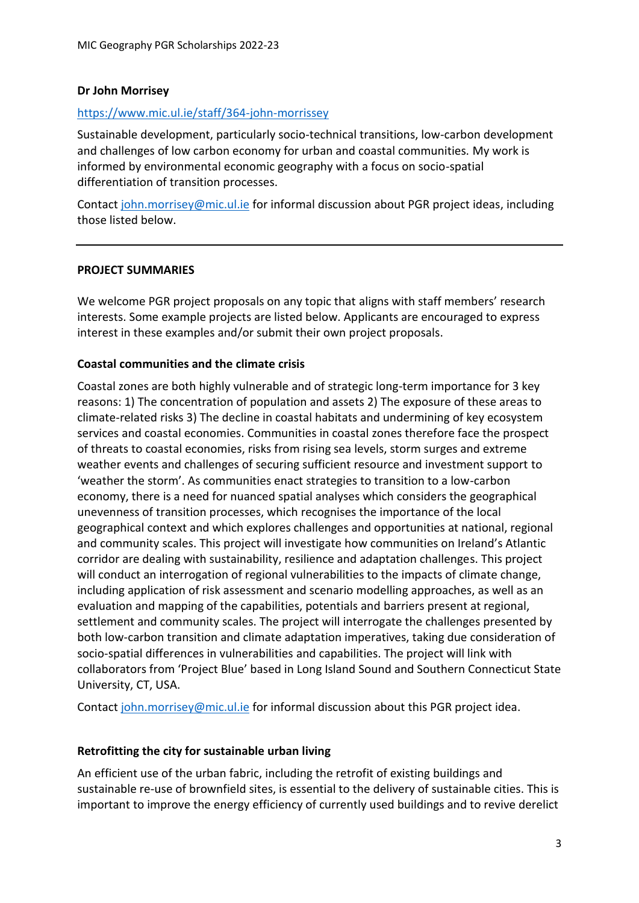#### **Dr John Morrisey**

#### <https://www.mic.ul.ie/staff/364-john-morrissey>

Sustainable development, particularly socio-technical transitions, low-carbon development and challenges of low carbon economy for urban and coastal communities. My work is informed by environmental economic geography with a focus on socio-spatial differentiation of transition processes.

Contac[t john.morrisey@mic.ul.ie](mailto:john.morrisey@mic.ul.ie) for informal discussion about PGR project ideas, including those listed below.

#### **PROJECT SUMMARIES**

We welcome PGR project proposals on any topic that aligns with staff members' research interests. Some example projects are listed below. Applicants are encouraged to express interest in these examples and/or submit their own project proposals.

#### **Coastal communities and the climate crisis**

Coastal zones are both highly vulnerable and of strategic long-term importance for 3 key reasons: 1) The concentration of population and assets 2) The exposure of these areas to climate-related risks 3) The decline in coastal habitats and undermining of key ecosystem services and coastal economies. Communities in coastal zones therefore face the prospect of threats to coastal economies, risks from rising sea levels, storm surges and extreme weather events and challenges of securing sufficient resource and investment support to 'weather the storm'. As communities enact strategies to transition to a low-carbon economy, there is a need for nuanced spatial analyses which considers the geographical unevenness of transition processes, which recognises the importance of the local geographical context and which explores challenges and opportunities at national, regional and community scales. This project will investigate how communities on Ireland's Atlantic corridor are dealing with sustainability, resilience and adaptation challenges. This project will conduct an interrogation of regional vulnerabilities to the impacts of climate change, including application of risk assessment and scenario modelling approaches, as well as an evaluation and mapping of the capabilities, potentials and barriers present at regional, settlement and community scales. The project will interrogate the challenges presented by both low-carbon transition and climate adaptation imperatives, taking due consideration of socio-spatial differences in vulnerabilities and capabilities. The project will link with collaborators from 'Project Blue' based in Long Island Sound and Southern Connecticut State University, CT, USA.

Contac[t john.morrisey@mic.ul.ie](mailto:john.morrisey@mic.ul.ie) for informal discussion about this PGR project idea.

#### **Retrofitting the city for sustainable urban living**

An efficient use of the urban fabric, including the retrofit of existing buildings and sustainable re-use of brownfield sites, is essential to the delivery of sustainable cities. This is important to improve the energy efficiency of currently used buildings and to revive derelict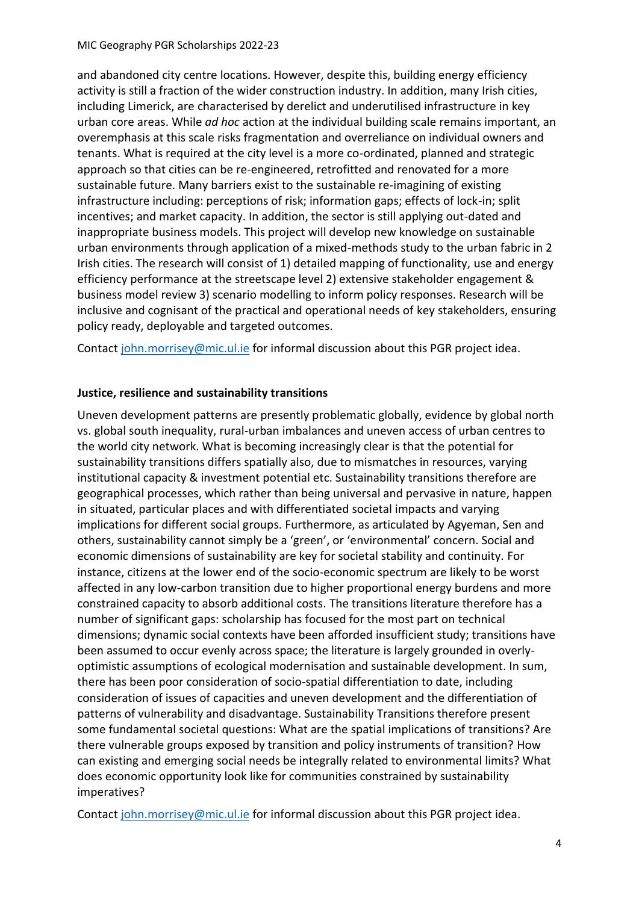and abandoned city centre locations. However, despite this, building energy efficiency activity is still a fraction of the wider construction industry. In addition, many Irish cities, including Limerick, are characterised by derelict and underutilised infrastructure in key urban core areas. While *ad hoc* action at the individual building scale remains important, an overemphasis at this scale risks fragmentation and overreliance on individual owners and tenants. What is required at the city level is a more co-ordinated, planned and strategic approach so that cities can be re-engineered, retrofitted and renovated for a more sustainable future. Many barriers exist to the sustainable re-imagining of existing infrastructure including: perceptions of risk; information gaps; effects of lock-in; split incentives; and market capacity. In addition, the sector is still applying out-dated and inappropriate business models. This project will develop new knowledge on sustainable urban environments through application of a mixed-methods study to the urban fabric in 2 Irish cities. The research will consist of 1) detailed mapping of functionality, use and energy efficiency performance at the streetscape level 2) extensive stakeholder engagement & business model review 3) scenario modelling to inform policy responses. Research will be inclusive and cognisant of the practical and operational needs of key stakeholders, ensuring policy ready, deployable and targeted outcomes.

Contac[t john.morrisey@mic.ul.ie](mailto:john.morrisey@mic.ul.ie) for informal discussion about this PGR project idea.

# **Justice, resilience and sustainability transitions**

Uneven development patterns are presently problematic globally, evidence by global north vs. global south inequality, rural-urban imbalances and uneven access of urban centres to the world city network. What is becoming increasingly clear is that the potential for sustainability transitions differs spatially also, due to mismatches in resources, varying institutional capacity & investment potential etc. Sustainability transitions therefore are geographical processes, which rather than being universal and pervasive in nature, happen in situated, particular places and with differentiated societal impacts and varying implications for different social groups. Furthermore, as articulated by Agyeman, Sen and others, sustainability cannot simply be a 'green', or 'environmental' concern. Social and economic dimensions of sustainability are key for societal stability and continuity. For instance, citizens at the lower end of the socio-economic spectrum are likely to be worst affected in any low-carbon transition due to higher proportional energy burdens and more constrained capacity to absorb additional costs. The transitions literature therefore has a number of significant gaps: scholarship has focused for the most part on technical dimensions; dynamic social contexts have been afforded insufficient study; transitions have been assumed to occur evenly across space; the literature is largely grounded in overlyoptimistic assumptions of ecological modernisation and sustainable development. In sum, there has been poor consideration of socio-spatial differentiation to date, including consideration of issues of capacities and uneven development and the differentiation of patterns of vulnerability and disadvantage. Sustainability Transitions therefore present some fundamental societal questions: What are the spatial implications of transitions? Are there vulnerable groups exposed by transition and policy instruments of transition? How can existing and emerging social needs be integrally related to environmental limits? What does economic opportunity look like for communities constrained by sustainability imperatives?

Contac[t john.morrisey@mic.ul.ie](mailto:john.morrisey@mic.ul.ie) for informal discussion about this PGR project idea.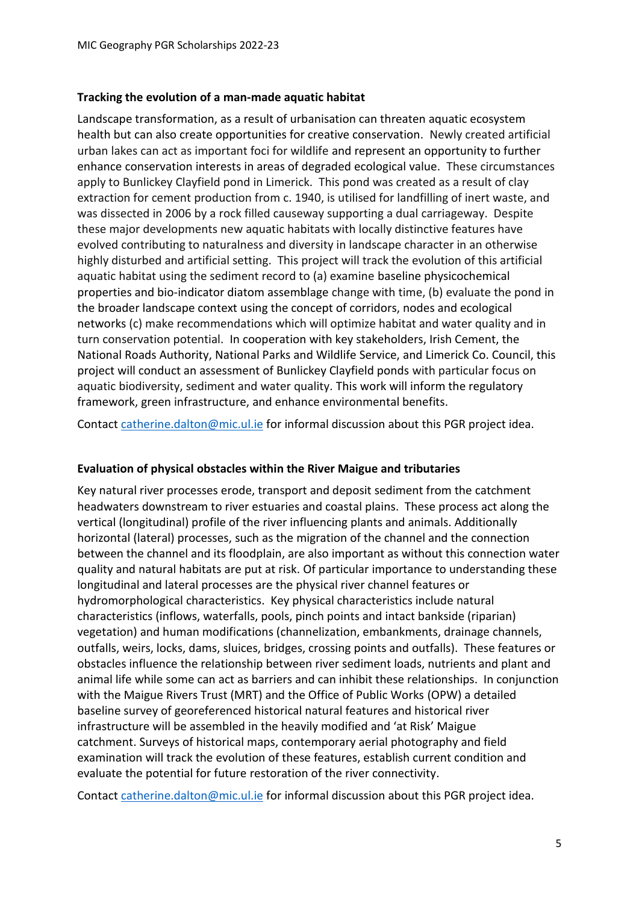#### **Tracking the evolution of a man-made aquatic habitat**

Landscape transformation, as a result of urbanisation can threaten aquatic ecosystem health but can also create opportunities for creative conservation. Newly created artificial urban lakes can act as important foci for wildlife and represent an opportunity to further enhance conservation interests in areas of degraded ecological value. These circumstances apply to Bunlickey Clayfield pond in Limerick. This pond was created as a result of clay extraction for cement production from c. 1940, is utilised for landfilling of inert waste, and was dissected in 2006 by a rock filled causeway supporting a dual carriageway. Despite these major developments new aquatic habitats with locally distinctive features have evolved contributing to naturalness and diversity in landscape character in an otherwise highly disturbed and artificial setting. This project will track the evolution of this artificial aquatic habitat using the sediment record to (a) examine baseline physicochemical properties and bio-indicator diatom assemblage change with time, (b) evaluate the pond in the broader landscape context using the concept of corridors, nodes and ecological networks (c) make recommendations which will optimize habitat and water quality and in turn conservation potential. In cooperation with key stakeholders, Irish Cement, the National Roads Authority, National Parks and Wildlife Service, and Limerick Co. Council, this project will conduct an assessment of Bunlickey Clayfield ponds with particular focus on aquatic biodiversity, sediment and water quality. This work will inform the regulatory framework, green infrastructure, and enhance environmental benefits.

Contac[t catherine.dalton@mic.ul.ie](mailto:catherine.dalton@mic.ul.ie) for informal discussion about this PGR project idea.

#### **Evaluation of physical obstacles within the River Maigue and tributaries**

Key natural river processes erode, transport and deposit sediment from the catchment headwaters downstream to river estuaries and coastal plains. These process act along the vertical (longitudinal) profile of the river influencing plants and animals. Additionally horizontal (lateral) processes, such as the migration of the channel and the connection between the channel and its floodplain, are also important as without this connection water quality and natural habitats are put at risk. Of particular importance to understanding these longitudinal and lateral processes are the physical river channel features or hydromorphological characteristics. Key physical characteristics include natural characteristics (inflows, waterfalls, pools, pinch points and intact bankside (riparian) vegetation) and human modifications (channelization, embankments, drainage channels, outfalls, weirs, locks, dams, sluices, bridges, crossing points and outfalls). These features or obstacles influence the relationship between river sediment loads, nutrients and plant and animal life while some can act as barriers and can inhibit these relationships. In conjunction with the Maigue Rivers Trust (MRT) and the Office of Public Works (OPW) a detailed baseline survey of georeferenced historical natural features and historical river infrastructure will be assembled in the heavily modified and 'at Risk' Maigue catchment. Surveys of historical maps, contemporary aerial photography and field examination will track the evolution of these features, establish current condition and evaluate the potential for future restoration of the river connectivity.

Contac[t catherine.dalton@mic.ul.ie](mailto:catherine.dalton@mic.ul.ie) for informal discussion about this PGR project idea.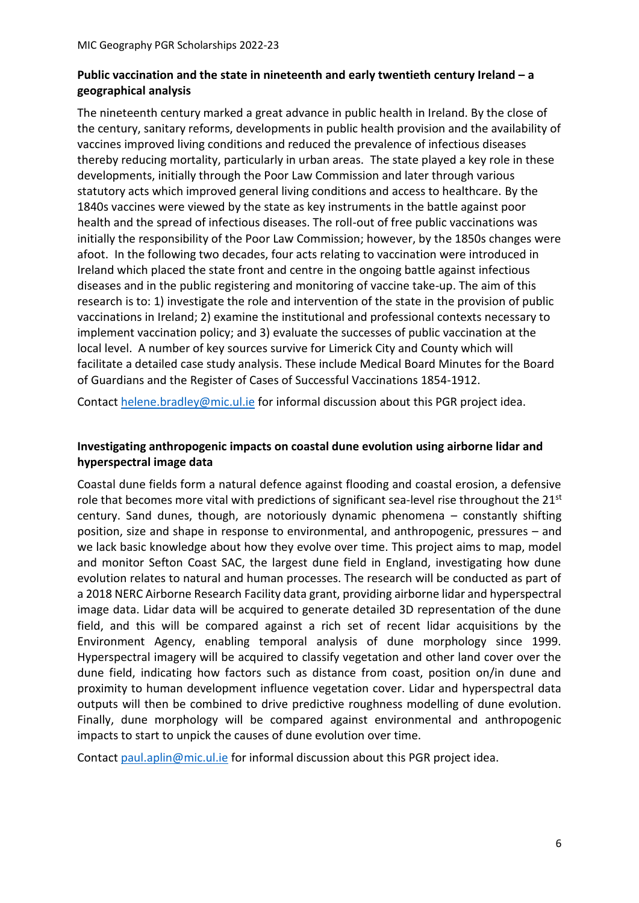# **Public vaccination and the state in nineteenth and early twentieth century Ireland – a geographical analysis**

The nineteenth century marked a great advance in public health in Ireland. By the close of the century, sanitary reforms, developments in public health provision and the availability of vaccines improved living conditions and reduced the prevalence of infectious diseases thereby reducing mortality, particularly in urban areas. The state played a key role in these developments, initially through the Poor Law Commission and later through various statutory acts which improved general living conditions and access to healthcare. By the 1840s vaccines were viewed by the state as key instruments in the battle against poor health and the spread of infectious diseases. The roll-out of free public vaccinations was initially the responsibility of the Poor Law Commission; however, by the 1850s changes were afoot. In the following two decades, four acts relating to vaccination were introduced in Ireland which placed the state front and centre in the ongoing battle against infectious diseases and in the public registering and monitoring of vaccine take-up. The aim of this research is to: 1) investigate the role and intervention of the state in the provision of public vaccinations in Ireland; 2) examine the institutional and professional contexts necessary to implement vaccination policy; and 3) evaluate the successes of public vaccination at the local level. A number of key sources survive for Limerick City and County which will facilitate a detailed case study analysis. These include Medical Board Minutes for the Board of Guardians and the Register of Cases of Successful Vaccinations 1854-1912.

Contac[t helene.bradley@mic.ul.ie](mailto:helene.bradley@mic.ul.ief) for informal discussion about this PGR project idea.

# **Investigating anthropogenic impacts on coastal dune evolution using airborne lidar and hyperspectral image data**

Coastal dune fields form a natural defence against flooding and coastal erosion, a defensive role that becomes more vital with predictions of significant sea-level rise throughout the 21<sup>st</sup> century. Sand dunes, though, are notoriously dynamic phenomena – constantly shifting position, size and shape in response to environmental, and anthropogenic, pressures – and we lack basic knowledge about how they evolve over time. This project aims to map, model and monitor Sefton Coast SAC, the largest dune field in England, investigating how dune evolution relates to natural and human processes. The research will be conducted as part of a 2018 NERC Airborne Research Facility data grant, providing airborne lidar and hyperspectral image data. Lidar data will be acquired to generate detailed 3D representation of the dune field, and this will be compared against a rich set of recent lidar acquisitions by the Environment Agency, enabling temporal analysis of dune morphology since 1999. Hyperspectral imagery will be acquired to classify vegetation and other land cover over the dune field, indicating how factors such as distance from coast, position on/in dune and proximity to human development influence vegetation cover. Lidar and hyperspectral data outputs will then be combined to drive predictive roughness modelling of dune evolution. Finally, dune morphology will be compared against environmental and anthropogenic impacts to start to unpick the causes of dune evolution over time.

Contac[t paul.aplin@mic.ul.ie](mailto:paul.aplin@mic.ul.ie) for informal discussion about this PGR project idea.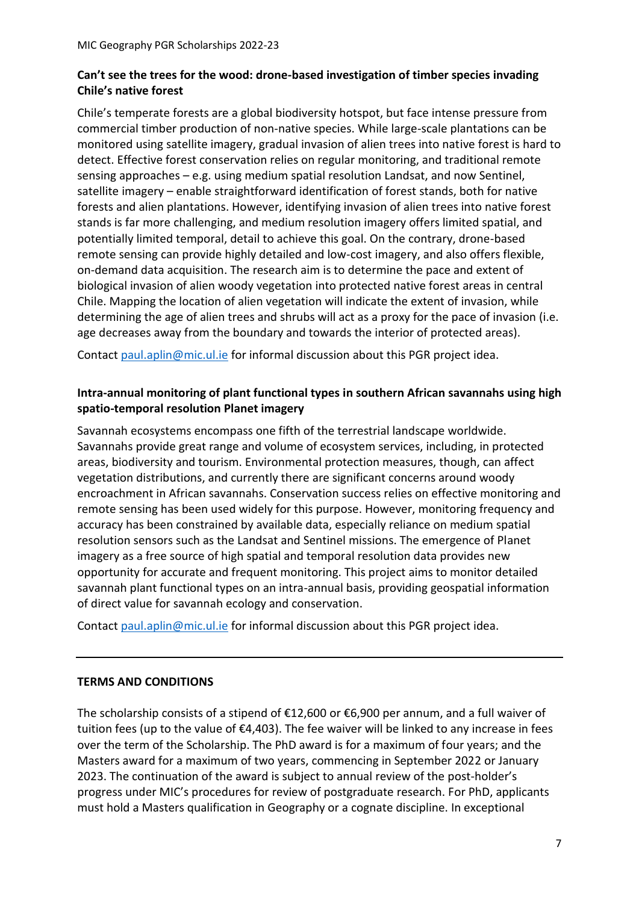# **Can't see the trees for the wood: drone-based investigation of timber species invading Chile's native forest**

Chile's temperate forests are a global biodiversity hotspot, but face intense pressure from commercial timber production of non-native species. While large-scale plantations can be monitored using satellite imagery, gradual invasion of alien trees into native forest is hard to detect. Effective forest conservation relies on regular monitoring, and traditional remote sensing approaches – e.g. using medium spatial resolution Landsat, and now Sentinel, satellite imagery – enable straightforward identification of forest stands, both for native forests and alien plantations. However, identifying invasion of alien trees into native forest stands is far more challenging, and medium resolution imagery offers limited spatial, and potentially limited temporal, detail to achieve this goal. On the contrary, drone-based remote sensing can provide highly detailed and low-cost imagery, and also offers flexible, on-demand data acquisition. The research aim is to determine the pace and extent of biological invasion of alien woody vegetation into protected native forest areas in central Chile. Mapping the location of alien vegetation will indicate the extent of invasion, while determining the age of alien trees and shrubs will act as a proxy for the pace of invasion (i.e. age decreases away from the boundary and towards the interior of protected areas).

Contac[t paul.aplin@mic.ul.ie](mailto:paul.aplin@mic.ul.ie) for informal discussion about this PGR project idea.

## **Intra-annual monitoring of plant functional types in southern African savannahs using high spatio-temporal resolution Planet imagery**

Savannah ecosystems encompass one fifth of the terrestrial landscape worldwide. Savannahs provide great range and volume of ecosystem services, including, in protected areas, biodiversity and tourism. Environmental protection measures, though, can affect vegetation distributions, and currently there are significant concerns around woody encroachment in African savannahs. Conservation success relies on effective monitoring and remote sensing has been used widely for this purpose. However, monitoring frequency and accuracy has been constrained by available data, especially reliance on medium spatial resolution sensors such as the Landsat and Sentinel missions. The emergence of Planet imagery as a free source of high spatial and temporal resolution data provides new opportunity for accurate and frequent monitoring. This project aims to monitor detailed savannah plant functional types on an intra-annual basis, providing geospatial information of direct value for savannah ecology and conservation.

Contac[t paul.aplin@mic.ul.ie](mailto:paul.aplin@mic.ul.ie) for informal discussion about this PGR project idea.

## **TERMS AND CONDITIONS**

The scholarship consists of a stipend of €12,600 or €6,900 per annum, and a full waiver of tuition fees (up to the value of €4,403). The fee waiver will be linked to any increase in fees over the term of the Scholarship. The PhD award is for a maximum of four years; and the Masters award for a maximum of two years, commencing in September 2022 or January 2023. The continuation of the award is subject to annual review of the post-holder's progress under MIC's procedures for review of postgraduate research. For PhD, applicants must hold a Masters qualification in Geography or a cognate discipline. In exceptional